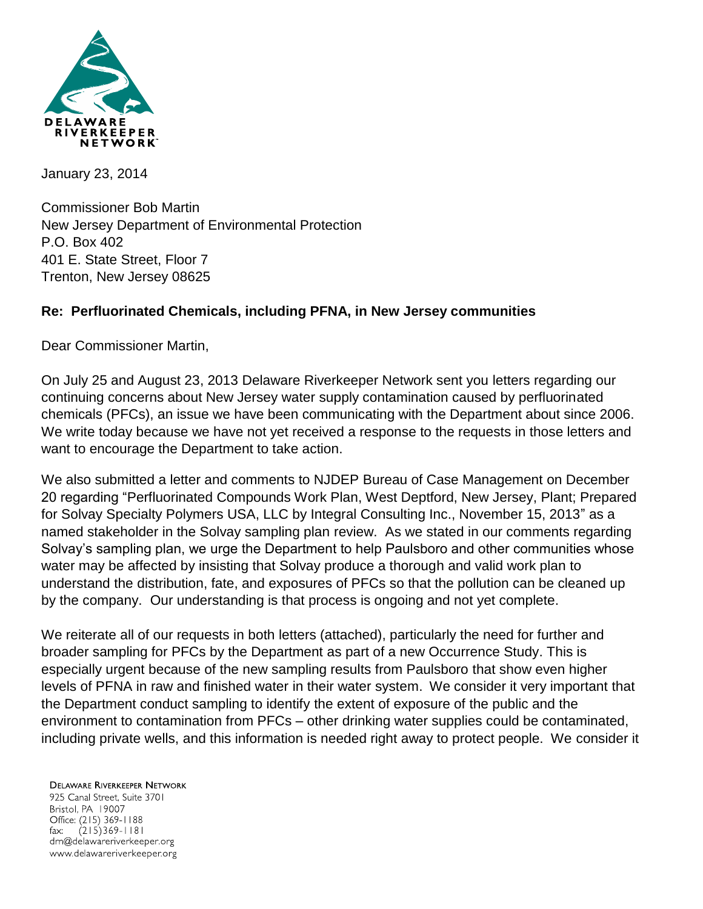

January 23, 2014

Commissioner Bob Martin New Jersey Department of Environmental Protection P.O. Box 402 401 E. State Street, Floor 7 Trenton, New Jersey 08625

## **Re: Perfluorinated Chemicals, including PFNA, in New Jersey communities**

Dear Commissioner Martin,

On July 25 and August 23, 2013 Delaware Riverkeeper Network sent you letters regarding our continuing concerns about New Jersey water supply contamination caused by perfluorinated chemicals (PFCs), an issue we have been communicating with the Department about since 2006. We write today because we have not yet received a response to the requests in those letters and want to encourage the Department to take action.

We also submitted a letter and comments to NJDEP Bureau of Case Management on December 20 regarding "Perfluorinated Compounds Work Plan, West Deptford, New Jersey, Plant; Prepared for Solvay Specialty Polymers USA, LLC by Integral Consulting Inc., November 15, 2013" as a named stakeholder in the Solvay sampling plan review. As we stated in our comments regarding Solvay's sampling plan, we urge the Department to help Paulsboro and other communities whose water may be affected by insisting that Solvay produce a thorough and valid work plan to understand the distribution, fate, and exposures of PFCs so that the pollution can be cleaned up by the company. Our understanding is that process is ongoing and not yet complete.

We reiterate all of our requests in both letters (attached), particularly the need for further and broader sampling for PFCs by the Department as part of a new Occurrence Study. This is especially urgent because of the new sampling results from Paulsboro that show even higher levels of PFNA in raw and finished water in their water system. We consider it very important that the Department conduct sampling to identify the extent of exposure of the public and the environment to contamination from PFCs – other drinking water supplies could be contaminated, including private wells, and this information is needed right away to protect people. We consider it

**DELAWARE RIVERKEEPER NETWORK** 925 Canal Street, Suite 3701 Bristol, PA 19007 Office: (215) 369-1188  $(215)369 - 1181$ fax: drn@delawareriverkeeper.org www.delawareriverkeeper.org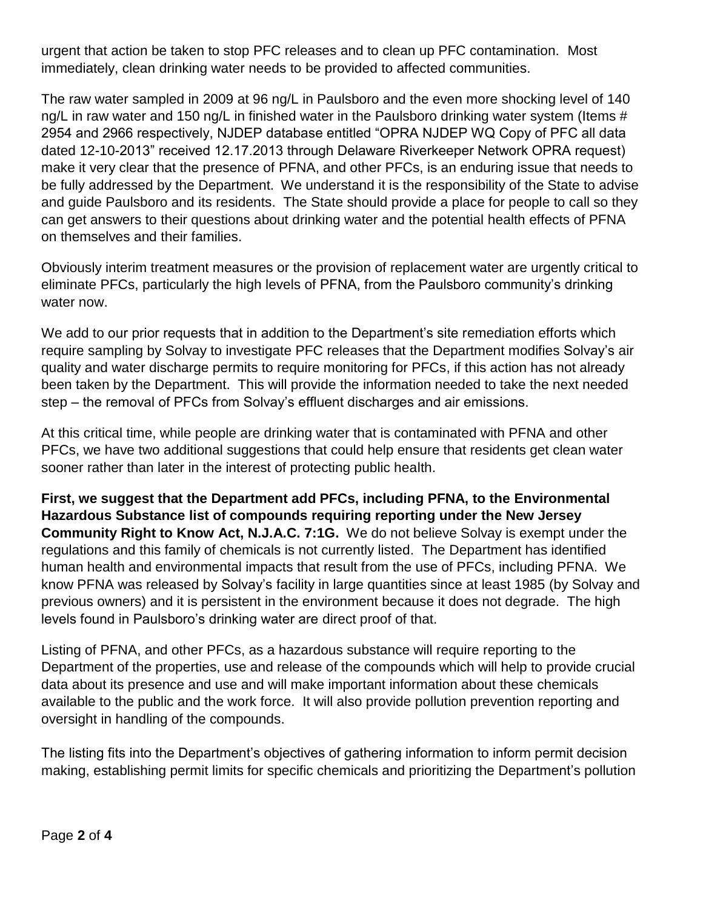urgent that action be taken to stop PFC releases and to clean up PFC contamination. Most immediately, clean drinking water needs to be provided to affected communities.

The raw water sampled in 2009 at 96 ng/L in Paulsboro and the even more shocking level of 140 ng/L in raw water and 150 ng/L in finished water in the Paulsboro drinking water system (Items # 2954 and 2966 respectively, NJDEP database entitled "OPRA NJDEP WQ Copy of PFC all data dated 12-10-2013" received 12.17.2013 through Delaware Riverkeeper Network OPRA request) make it very clear that the presence of PFNA, and other PFCs, is an enduring issue that needs to be fully addressed by the Department. We understand it is the responsibility of the State to advise and guide Paulsboro and its residents. The State should provide a place for people to call so they can get answers to their questions about drinking water and the potential health effects of PFNA on themselves and their families.

Obviously interim treatment measures or the provision of replacement water are urgently critical to eliminate PFCs, particularly the high levels of PFNA, from the Paulsboro community's drinking water now.

We add to our prior requests that in addition to the Department's site remediation efforts which require sampling by Solvay to investigate PFC releases that the Department modifies Solvay's air quality and water discharge permits to require monitoring for PFCs, if this action has not already been taken by the Department. This will provide the information needed to take the next needed step – the removal of PFCs from Solvay's effluent discharges and air emissions.

At this critical time, while people are drinking water that is contaminated with PFNA and other PFCs, we have two additional suggestions that could help ensure that residents get clean water sooner rather than later in the interest of protecting public health.

**First, we suggest that the Department add PFCs, including PFNA, to the Environmental Hazardous Substance list of compounds requiring reporting under the New Jersey Community Right to Know Act, N.J.A.C. 7:1G.** We do not believe Solvay is exempt under the regulations and this family of chemicals is not currently listed. The Department has identified human health and environmental impacts that result from the use of PFCs, including PFNA. We know PFNA was released by Solvay's facility in large quantities since at least 1985 (by Solvay and previous owners) and it is persistent in the environment because it does not degrade. The high levels found in Paulsboro's drinking water are direct proof of that.

Listing of PFNA, and other PFCs, as a hazardous substance will require reporting to the Department of the properties, use and release of the compounds which will help to provide crucial data about its presence and use and will make important information about these chemicals available to the public and the work force. It will also provide pollution prevention reporting and oversight in handling of the compounds.

The listing fits into the Department's objectives of gathering information to inform permit decision making, establishing permit limits for specific chemicals and prioritizing the Department's pollution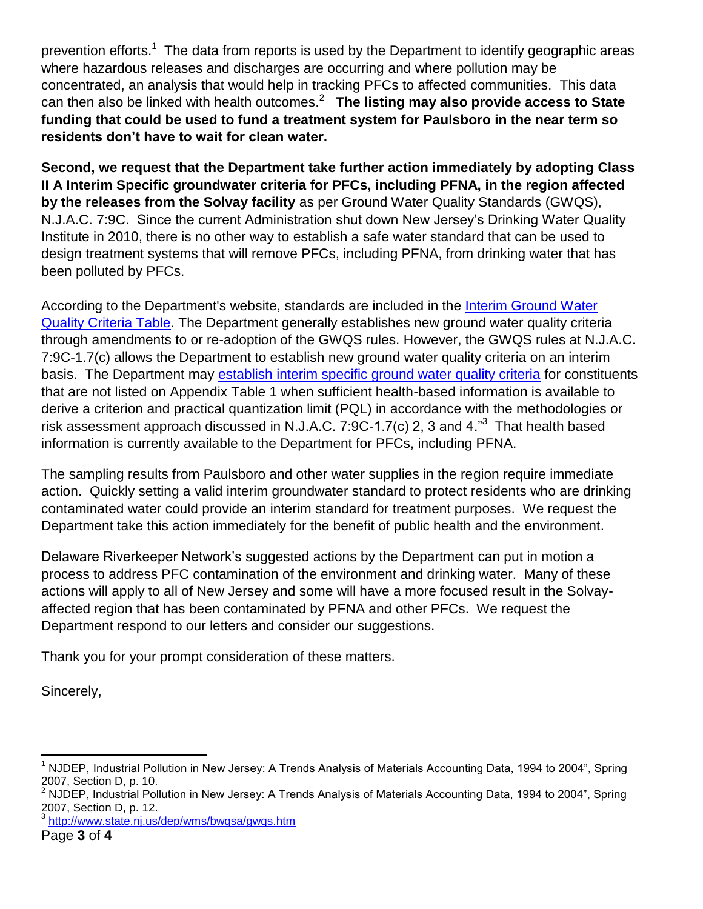prevention efforts.<sup>1</sup> The data from reports is used by the Department to identify geographic areas where hazardous releases and discharges are occurring and where pollution may be concentrated, an analysis that would help in tracking PFCs to affected communities. This data can then also be linked with health outcomes.<sup>2</sup> **The listing may also provide access to State funding that could be used to fund a treatment system for Paulsboro in the near term so residents don't have to wait for clean water.** 

**Second, we request that the Department take further action immediately by adopting Class II A Interim Specific groundwater criteria for PFCs, including PFNA, in the region affected by the releases from the Solvay facility** as per Ground Water Quality Standards (GWQS), N.J.A.C. 7:9C. Since the current Administration shut down New Jersey's Drinking Water Quality Institute in 2010, there is no other way to establish a safe water standard that can be used to design treatment systems that will remove PFCs, including PFNA, from drinking water that has been polluted by PFCs.

According to the Department's website, standards are included in the [Interim Ground Water](http://www.state.nj.us/dep/wms/bwqsa/gwqs_interim_criteria_table.htm)  [Quality Criteria Table.](http://www.state.nj.us/dep/wms/bwqsa/gwqs_interim_criteria_table.htm) The Department generally establishes new ground water quality criteria through amendments to or re-adoption of the GWQS rules. However, the GWQS rules at N.J.A.C. 7:9C-1.7(c) allows the Department to establish new ground water quality criteria on an interim basis. The Department may [establish interim specific ground water quality criteria](http://www.state.nj.us/dep/wms/bwqsa/gwqs.htm#1#1) for constituents that are not listed on Appendix Table 1 when sufficient health-based information is available to derive a criterion and practical quantization limit (PQL) in accordance with the methodologies or risk assessment approach discussed in N.J.A.C. 7:9C-1.7(c) 2, 3 and 4. $^{n3}$  That health based information is currently available to the Department for PFCs, including PFNA.

The sampling results from Paulsboro and other water supplies in the region require immediate action. Quickly setting a valid interim groundwater standard to protect residents who are drinking contaminated water could provide an interim standard for treatment purposes. We request the Department take this action immediately for the benefit of public health and the environment.

Delaware Riverkeeper Network's suggested actions by the Department can put in motion a process to address PFC contamination of the environment and drinking water. Many of these actions will apply to all of New Jersey and some will have a more focused result in the Solvayaffected region that has been contaminated by PFNA and other PFCs. We request the Department respond to our letters and consider our suggestions.

Thank you for your prompt consideration of these matters.

Sincerely,

 $\overline{a}$ 

<sup>3</sup> <http://www.state.nj.us/dep/wms/bwqsa/gwqs.htm>

 $1$  NJDEP, Industrial Pollution in New Jersey: A Trends Analysis of Materials Accounting Data, 1994 to 2004", Spring 2007, Section D, p. 10.

<sup>&</sup>lt;sup>2</sup> NJDEP, Industrial Pollution in New Jersey: A Trends Analysis of Materials Accounting Data, 1994 to 2004", Spring 2007, Section D, p. 12.